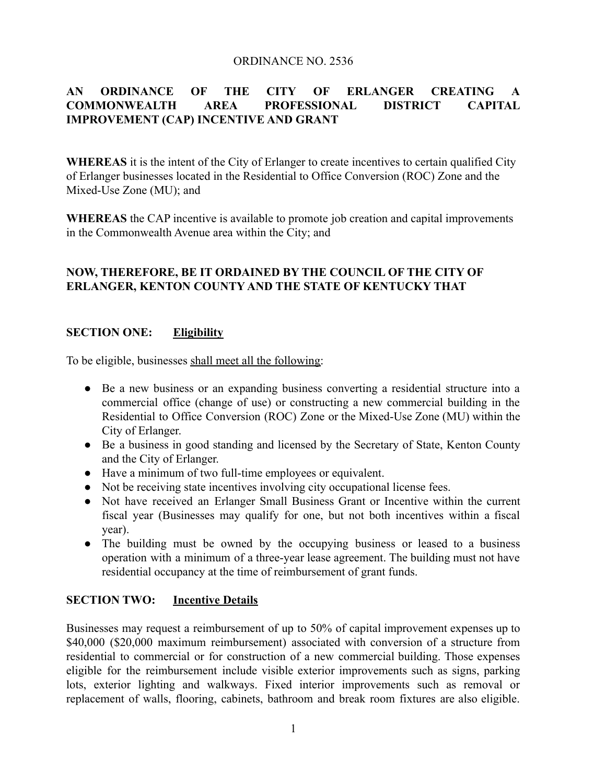#### ORDINANCE NO. 2536

# **AN ORDINANCE OF THE CITY OF ERLANGER CREATING A COMMONWEALTH AREA PROFESSIONAL DISTRICT CAPITAL IMPROVEMENT (CAP) INCENTIVE AND GRANT**

**WHEREAS** it is the intent of the City of Erlanger to create incentives to certain qualified City of Erlanger businesses located in the Residential to Office Conversion (ROC) Zone and the Mixed-Use Zone (MU); and

**WHEREAS** the CAP incentive is available to promote job creation and capital improvements in the Commonwealth Avenue area within the City; and

# **NOW, THEREFORE, BE IT ORDAINED BY THE COUNCIL OF THE CITY OF ERLANGER, KENTON COUNTY AND THE STATE OF KENTUCKY THAT**

## **SECTION ONE: Eligibility**

To be eligible, businesses shall meet all the following:

- Be a new business or an expanding business converting a residential structure into a commercial office (change of use) or constructing a new commercial building in the Residential to Office Conversion (ROC) Zone or the Mixed-Use Zone (MU) within the City of Erlanger.
- Be a business in good standing and licensed by the Secretary of State, Kenton County and the City of Erlanger.
- Have a minimum of two full-time employees or equivalent.
- Not be receiving state incentives involving city occupational license fees.
- Not have received an Erlanger Small Business Grant or Incentive within the current fiscal year (Businesses may qualify for one, but not both incentives within a fiscal year).
- The building must be owned by the occupying business or leased to a business operation with a minimum of a three-year lease agreement. The building must not have residential occupancy at the time of reimbursement of grant funds.

## **SECTION TWO: Incentive Details**

Businesses may request a reimbursement of up to 50% of capital improvement expenses up to \$40,000 (\$20,000 maximum reimbursement) associated with conversion of a structure from residential to commercial or for construction of a new commercial building. Those expenses eligible for the reimbursement include visible exterior improvements such as signs, parking lots, exterior lighting and walkways. Fixed interior improvements such as removal or replacement of walls, flooring, cabinets, bathroom and break room fixtures are also eligible.